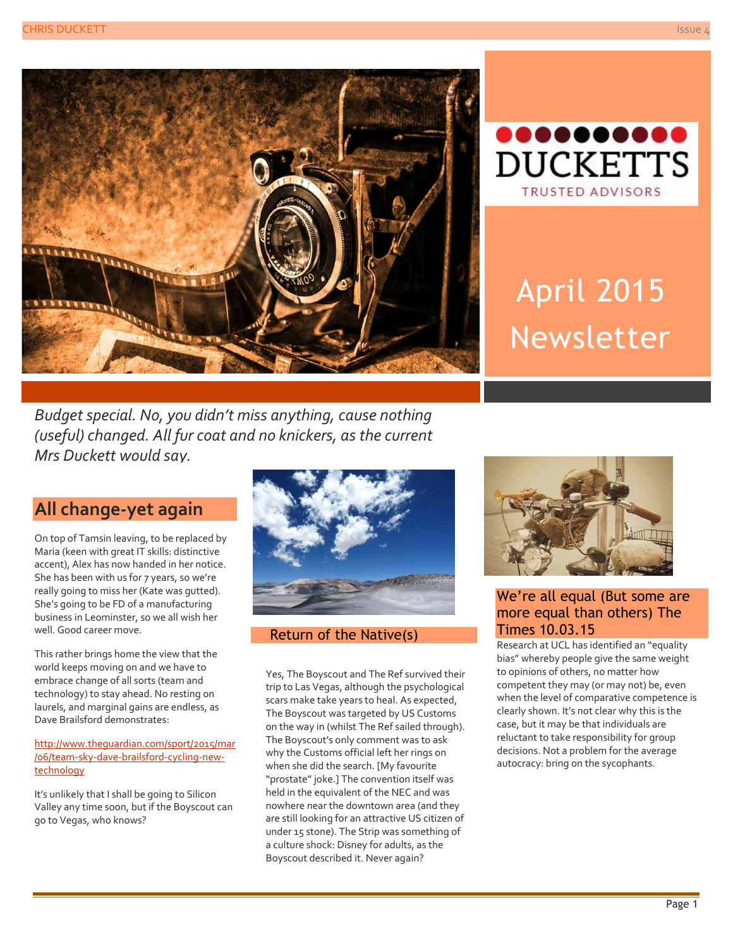



# April 2015 Newsletter

*Budget special. No, you didn't miss anything, cause nothing (useful) changed. All fur coat and no knickers, as the current Mrs Duckett would say.*

## **All change-yet again**

On top of Tamsin leaving, to be replaced by Maria (keen with great IT skills: distinctive accent), Alex has now handed in her notice. She has been with us for 7 years, so we're really going to miss her (Kate was gutted). She's going to be FD of a manufacturing business in Leominster, so we all wish her well. Good career move.

This rather brings home the view that the world keeps moving on and we have to embrace change of all sorts (team and technology) to stay ahead. No resting on laurels, and marginal gains are endless, as Dave Brailsford demonstrates:

[http://www.theguardian.com/sport/2015/mar](http://www.theguardian.com/sport/2015/mar/06/team-sky-dave-brailsford-cycling-new-technology) [/06/team-sky-dave-brailsford-cycling-new](http://www.theguardian.com/sport/2015/mar/06/team-sky-dave-brailsford-cycling-new-technology)[technology](http://www.theguardian.com/sport/2015/mar/06/team-sky-dave-brailsford-cycling-new-technology)

It's unlikely that I shall be going to Silicon Valley any time soon, but if the Boyscout can go to Vegas, who knows?



#### Return of the Native(s)

Yes, The Boyscout and The Ref survived their trip to Las Vegas, although the psychological scars make take years to heal. As expected, The Boyscout was targeted by US Customs on the way in (whilst The Ref sailed through). The Boyscout's only comment was to ask why the Customs official left her rings on when she did the search. [My favourite "prostate" joke.] The convention itself was held in the equivalent of the NEC and was nowhere near the downtown area (and they are still looking for an attractive US citizen of under 15 stone). The Strip was something of a culture shock: Disney for adults, as the Boyscout described it. Never again?



#### We're all equal (But some are more equal than others) The Times 10.03.15

Research at UCL has identified an "equality bias" whereby people give the same weight to opinions of others, no matter how competent they may (or may not) be, even when the level of comparative competence is clearly shown. It's not clear why this is the case, but it may be that individuals are reluctant to take responsibility for group decisions. Not a problem for the average autocracy: bring on the sycophants.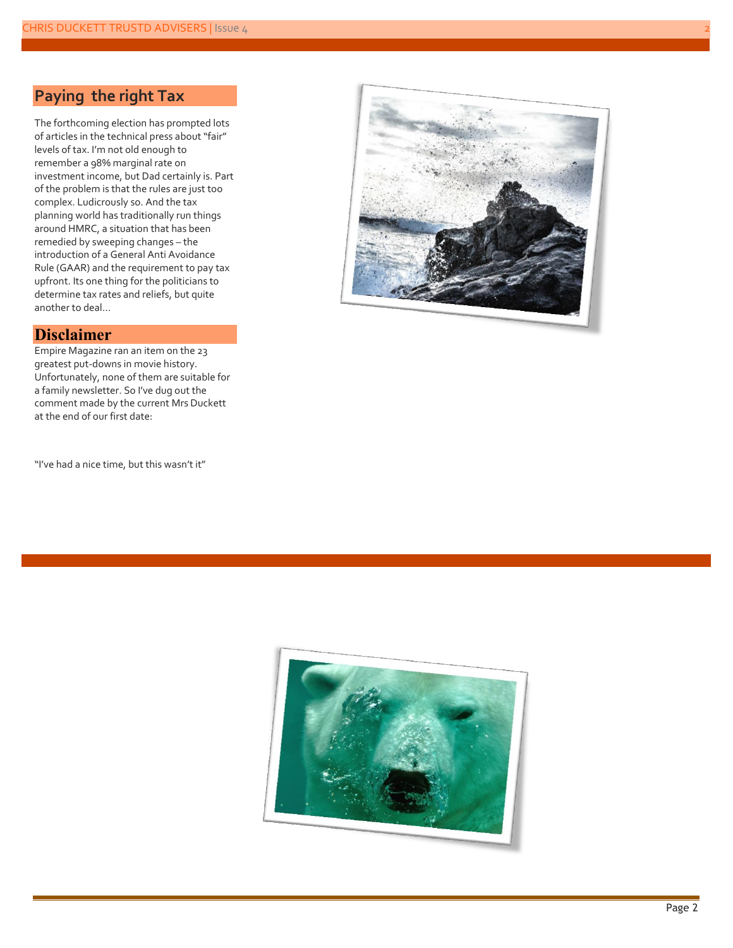### **Paying the right Tax**

The forthcoming election has prompted lots of articles in the technical press about "fair" levels of tax. I'm not old enough to remember a 98% marginal rate on investment income, but Dad certainly is. Part of the problem is that the rules are just too complex. Ludicrously so. And the tax planning world has traditionally run things around HMRC, a situation that has been remedied by sweeping changes – the introduction of a General Anti Avoidance Rule (GAAR) and the requirement to pay tax upfront. Its one thing for the politicians to determine tax rates and reliefs, but quite another to deal…

#### **Disclaimer**

Empire Magazine ran an item on the 23 greatest put-downs in movie history. Unfortunately, none of them are suitable for a family newsletter. So I've dug out the comment made by the current Mrs Duckett at the end of our first date:

"I've had a nice time, but this wasn't it"